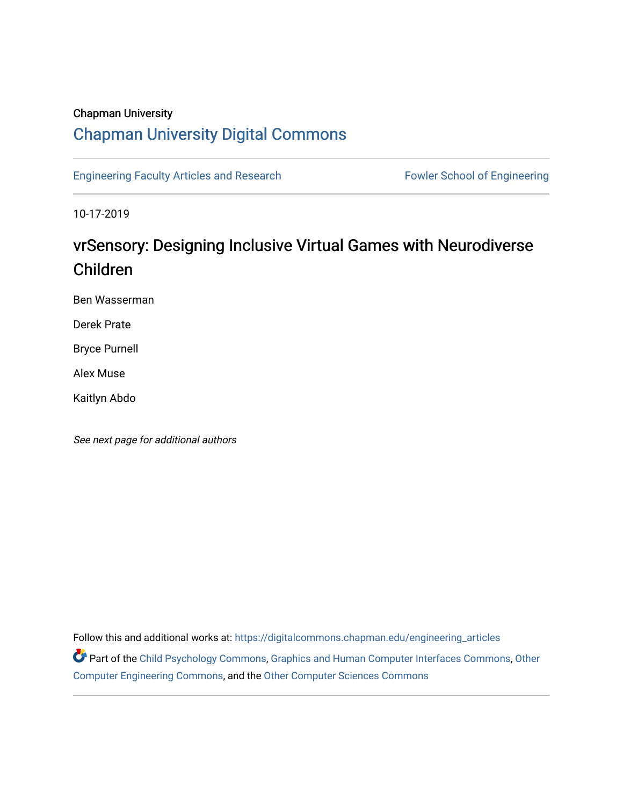## Chapman University

# [Chapman University Digital Commons](https://digitalcommons.chapman.edu/)

[Engineering Faculty Articles and Research](https://digitalcommons.chapman.edu/engineering_articles) Fowler School of Engineering

10-17-2019

# vrSensory: Designing Inclusive Virtual Games with Neurodiverse Children

Ben Wasserman

Derek Prate

Bryce Purnell

Alex Muse

Kaitlyn Abdo

See next page for additional authors

Follow this and additional works at: [https://digitalcommons.chapman.edu/engineering\\_articles](https://digitalcommons.chapman.edu/engineering_articles?utm_source=digitalcommons.chapman.edu%2Fengineering_articles%2F107&utm_medium=PDF&utm_campaign=PDFCoverPages) 

Part of the [Child Psychology Commons,](http://network.bepress.com/hgg/discipline/1023?utm_source=digitalcommons.chapman.edu%2Fengineering_articles%2F107&utm_medium=PDF&utm_campaign=PDFCoverPages) [Graphics and Human Computer Interfaces Commons](http://network.bepress.com/hgg/discipline/146?utm_source=digitalcommons.chapman.edu%2Fengineering_articles%2F107&utm_medium=PDF&utm_campaign=PDFCoverPages), [Other](http://network.bepress.com/hgg/discipline/265?utm_source=digitalcommons.chapman.edu%2Fengineering_articles%2F107&utm_medium=PDF&utm_campaign=PDFCoverPages)  [Computer Engineering Commons](http://network.bepress.com/hgg/discipline/265?utm_source=digitalcommons.chapman.edu%2Fengineering_articles%2F107&utm_medium=PDF&utm_campaign=PDFCoverPages), and the [Other Computer Sciences Commons](http://network.bepress.com/hgg/discipline/152?utm_source=digitalcommons.chapman.edu%2Fengineering_articles%2F107&utm_medium=PDF&utm_campaign=PDFCoverPages)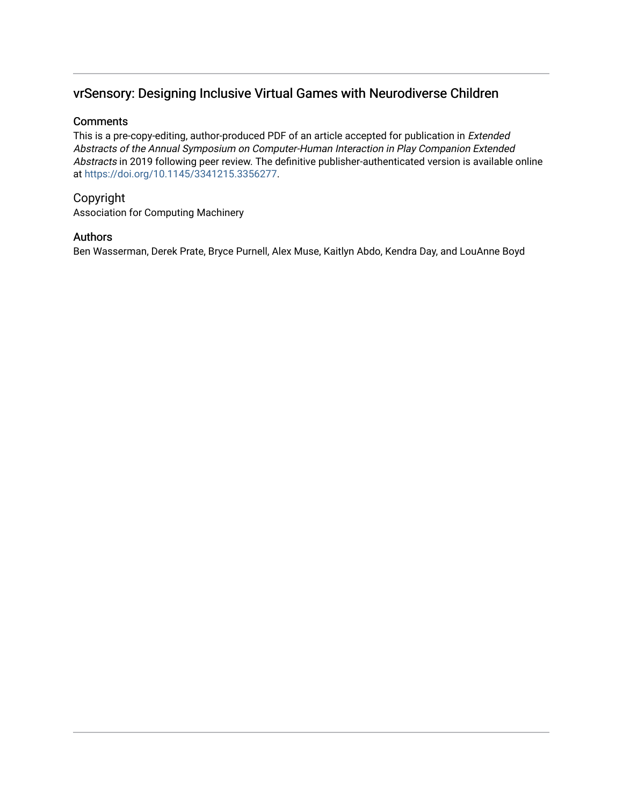# vrSensory: Designing Inclusive Virtual Games with Neurodiverse Children

### **Comments**

This is a pre-copy-editing, author-produced PDF of an article accepted for publication in Extended Abstracts of the Annual Symposium on Computer-Human Interaction in Play Companion Extended Abstracts in 2019 following peer review. The definitive publisher-authenticated version is available online at<https://doi.org/10.1145/3341215.3356277>.

## Copyright

Association for Computing Machinery

### Authors

Ben Wasserman, Derek Prate, Bryce Purnell, Alex Muse, Kaitlyn Abdo, Kendra Day, and LouAnne Boyd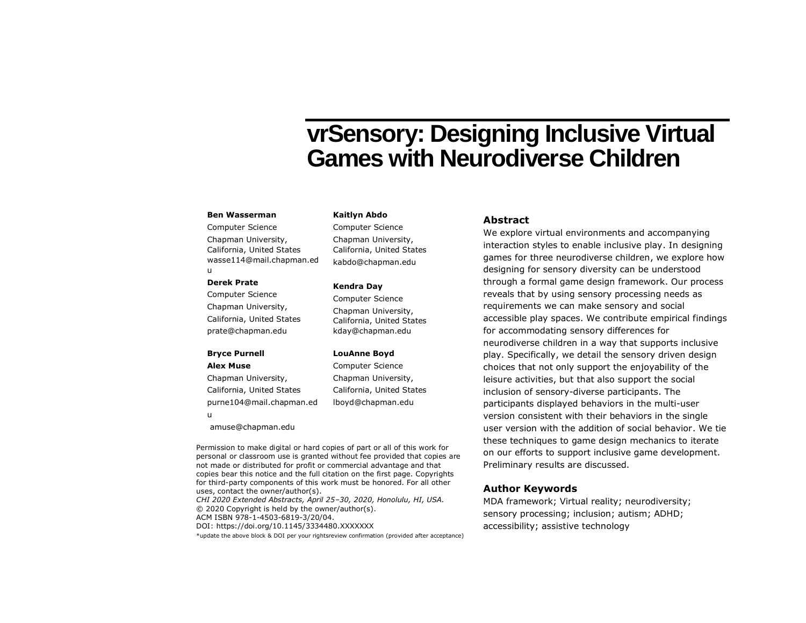# **vrSensory: Designing Inclusive Virtual Games with Neurodiverse Children**

#### **Ben Wasserman**

Computer Science Chapman University, California, United States wasse114@mail.chapman.ed u

#### **Derek Prate**

Computer Science Chapman University, California, United States prate@chapman.edu

#### **Bryce Purnell**

#### **Alex Muse**

Chapman University, California, United States purne104@mail.chapman.ed u

amuse@chapman.edu

Permission to make digital or hard copies of part or all of this work for personal or classroom use is granted without fee provided that copies are not made or distributed for profit or commercial advantage and that copies bear this notice and the full citation on the first page. Copyrights for third-party components of this work must be honored. For all other uses, contact the owner/author(s). *CHI 2020 Extended Abstracts, April 25–30, 2020, Honolulu, HI, USA.* © 2020 Copyright is held by the owner/author(s). ACM ISBN 978-1-4503-6819-3/20/04. DOI: https://doi.org/10.1145/3334480.XXXXXXX \*update the above block & DOI per your rightsreview confirmation (provided after acceptance)

#### **Kaitlyn Abdo**

Computer Science Chapman University, California, United States kabdo@chapman.edu

#### **Kendra Day**

Computer Science Chapman University, California, United States kday@chapman.edu

#### **LouAnne Boyd**

Computer Science Chapman University, California, United States lboyd@chapman.edu

#### **Abstract**

We explore virtual environments and accompanying interaction styles to enable inclusive play. In designing games for three neurodiverse children, we explore how designing for sensory diversity can be understood through a formal game design framework. Our process reveals that by using sensory processing needs as requirements we can make sensory and social accessible play spaces. We contribute empirical findings for accommodating sensory differences for neurodiverse children in a way that supports inclusive play. Specifically, we detail the sensory driven design choices that not only support the enjoyability of the leisure activities, but that also support the social inclusion of sensory-diverse participants. The participants displayed behaviors in the multi-user version consistent with their behaviors in the single user version with the addition of social behavior. We tie these techniques to game design mechanics to iterate on our efforts to support inclusive game development. Preliminary results are discussed.

#### **Author Keywords**

MDA framework; Virtual reality; neurodiversity; sensory processing; inclusion; autism; ADHD; accessibility; assistive technology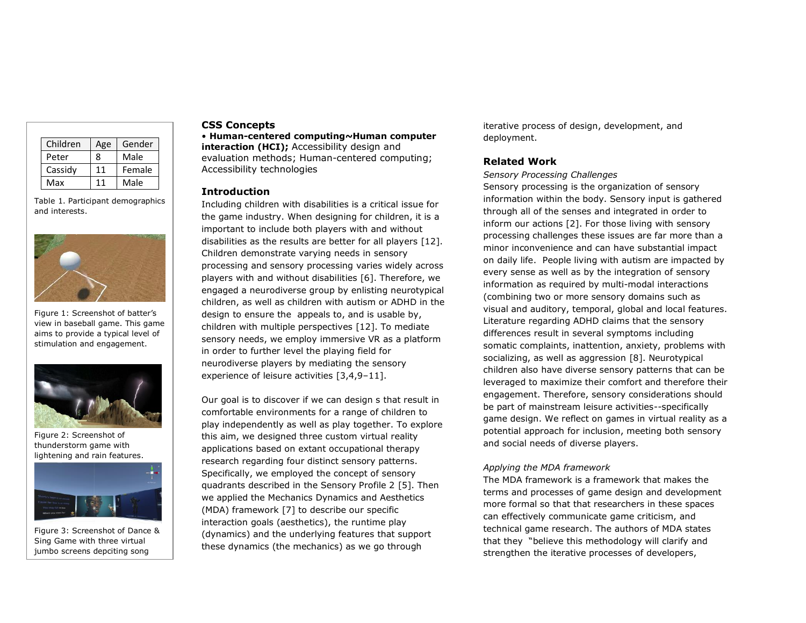| Children | Age | Gender |
|----------|-----|--------|
| Peter    | 8   | Male   |
| Cassidy  | 11  | Female |
| Max      |     | Male   |

Table 1. Participant demographics and interests.



Figure 1: Screenshot of batter's view in baseball game. This game aims to provide a typical level of stimulation and engagement.



Figure 2: Screenshot of thunderstorm game with lightening and rain features.



Figure 3: Screenshot of Dance & Sing Game with three virtual jumbo screens depciting song

lyrics, musci video, and dance

#### **CSS Concepts**

• **Human-centered computing~Human computer interaction (HCI);** Accessibility design and evaluation methods; Human-centered computing; Accessibility technologies

#### **Introduction**

Including children with disabilities is a critical issue for the game industry. When designing for children, it is a important to include both players with and without disabilities as the results are better for all players [12]. Children demonstrate varying needs in sensory processing and sensory processing varies widely across players with and without disabilities [6]. Therefore, we engaged a neurodiverse group by enlisting neurotypical children, as well as children with autism or ADHD in the design to ensure the appeals to, and is usable by, children with multiple perspectives [12]. To mediate sensory needs, we employ immersive VR as a platform in order to further level the playing field for neurodiverse players by mediating the sensory experience of leisure activities [3,4,9–11].

Our goal is to discover if we can design s that result in comfortable environments for a range of children to play independently as well as play together. To explore this aim, we designed three custom virtual reality applications based on extant occupational therapy research regarding four distinct sensory patterns. Specifically, we employed the concept of sensory quadrants described in the Sensory Profile 2 [5]. Then we applied the Mechanics Dynamics and Aesthetics (MDA) framework [7] to describe our specific interaction goals (aesthetics), the runtime play (dynamics) and the underlying features that support these dynamics (the mechanics) as we go through

iterative process of design, development, and deployment.

#### **Related Work**

*Sensory Processing Challenges*

Sensory processing is the organization of sensory information within the body. Sensory input is gathered through all of the senses and integrated in order to inform our actions [2]. For those living with sensory processing challenges these issues are far more than a minor inconvenience and can have substantial impact on daily life. People living with autism are impacted by every sense as well as by the integration of sensory information as required by multi-modal interactions (combining two or more sensory domains such as visual and auditory, temporal, global and local features. Literature regarding ADHD claims that the sensory differences result in several symptoms including somatic complaints, inattention, anxiety, problems with socializing, as well as aggression [8]. Neurotypical children also have diverse sensory patterns that can be leveraged to maximize their comfort and therefore their engagement. Therefore, sensory considerations should be part of mainstream leisure activities--specifically game design. We reflect on games in virtual reality as a potential approach for inclusion, meeting both sensory and social needs of diverse players.

#### *Applying the MDA framework*

The MDA framework is a framework that makes the terms and processes of game design and development more formal so that that researchers in these spaces can effectively communicate game criticism, and technical game research. The authors of MDA states that they "believe this methodology will clarify and strengthen the iterative processes of developers,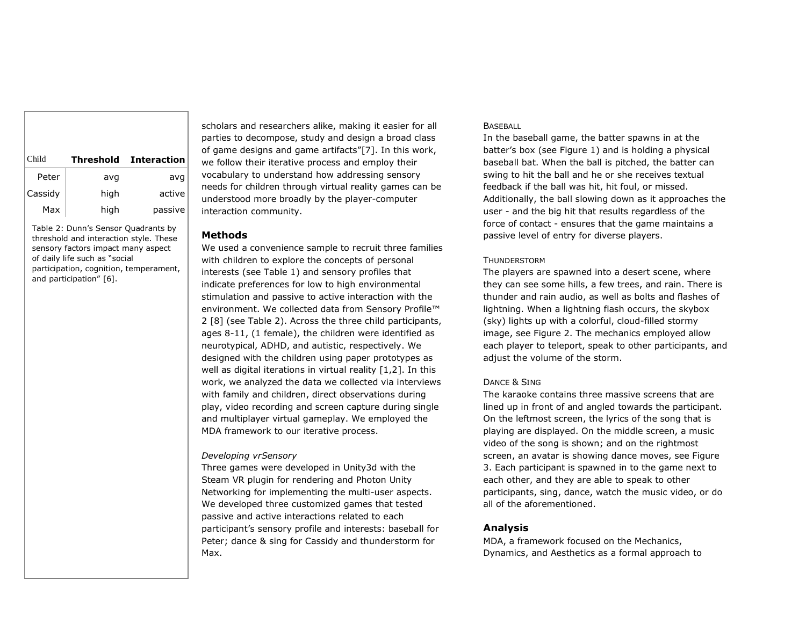| Child   |      | Threshold Interaction |
|---------|------|-----------------------|
| Peter   | avg  | avg                   |
| Cassidy | high | active                |
| Max     | high | passive               |

Table 2: Dunn's Sensor Quadrants by threshold and interaction style. These sensory factors impact many aspect of daily life such as "social participation, cognition, temperament, and participation" [6].

scholars and researchers alike, making it easier for all parties to decompose, study and design a broad class of game designs and game artifacts"[7]. In this work, we follow their iterative process and employ their vocabulary to understand how addressing sensory needs for children through virtual reality games can be understood more broadly by the player-computer interaction community.

#### **Methods**

We used a convenience sample to recruit three families with children to explore the concepts of personal interests (see Table 1) and sensory profiles that indicate preferences for low to high environmental stimulation and passive to active interaction with the environment. We collected data from Sensory Profile™ 2 [8] (see Table 2). Across the three child participants, ages 8-11, (1 female), the children were identified as neurotypical, ADHD, and autistic, respectively. We designed with the children using paper prototypes as well as digital iterations in virtual reality [1,2]. In this work, we analyzed the data we collected via interviews with family and children, direct observations during play, video recording and screen capture during single and multiplayer virtual gameplay. We employed the MDA framework to our iterative process.

#### *Developing vrSensory*

Three games were developed in Unity3d with the Steam VR plugin for rendering and Photon Unity Networking for implementing the multi-user aspects. We developed three customized games that tested passive and active interactions related to each participant's sensory profile and interests: baseball for Peter; dance & sing for Cassidy and thunderstorm for Max.

#### **BASEBALL**

In the baseball game, the batter spawns in at the batter's box (see Figure 1) and is holding a physical baseball bat. When the ball is pitched, the batter can swing to hit the ball and he or she receives textual feedback if the ball was hit, hit foul, or missed. Additionally, the ball slowing down as it approaches the user - and the big hit that results regardless of the force of contact - ensures that the game maintains a passive level of entry for diverse players.

#### **THUNDERSTORM**

The players are spawned into a desert scene, where they can see some hills, a few trees, and rain. There is thunder and rain audio, as well as bolts and flashes of lightning. When a lightning flash occurs, the skybox (sky) lights up with a colorful, cloud-filled stormy image, see Figure 2. The mechanics employed allow each player to teleport, speak to other participants, and adjust the volume of the storm.

#### DANCE & SING

The karaoke contains three massive screens that are lined up in front of and angled towards the participant. On the leftmost screen, the lyrics of the song that is playing are displayed. On the middle screen, a music video of the song is shown; and on the rightmost screen, an avatar is showing dance moves, see Figure 3. Each participant is spawned in to the game next to each other, and they are able to speak to other participants, sing, dance, watch the music video, or do all of the aforementioned.

#### **Analysis**

MDA, a framework focused on the Mechanics, Dynamics, and Aesthetics as a formal approach to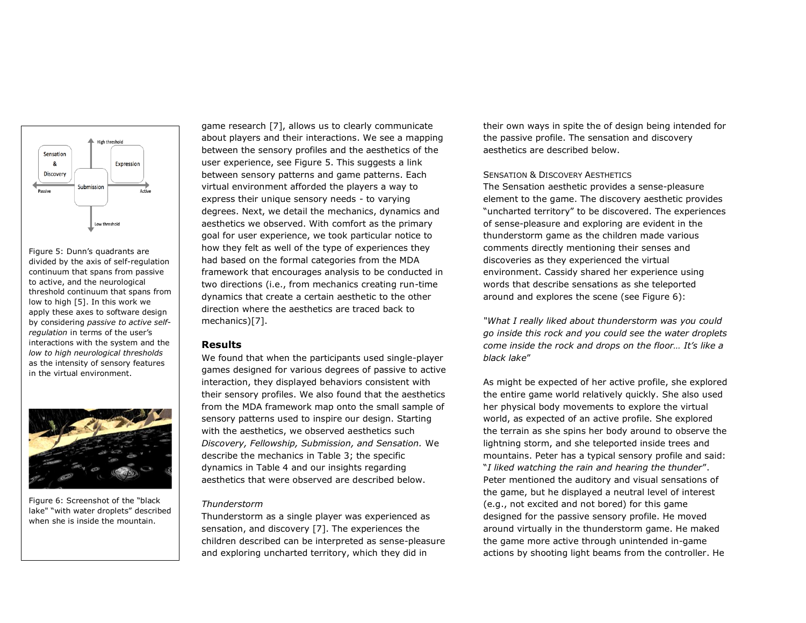

Figure 5: Dunn's quadrants are divided by the axis of self-regulation continuum that spans from passive to active, and the neurological threshold continuum that spans from low to high [5]. In this work we apply these axes to software design by considering *passive to active selfregulation* in terms of the user's interactions with the system and the *low to high neurological thresholds* as the intensity of sensory features in the virtual environment.



Figure 6: Screenshot of the "black lake" "with water droplets" described when she is inside the mountain.

game research [7], allows us to clearly communicate about players and their interactions. We see a mapping between the sensory profiles and the aesthetics of the user experience, see Figure 5. This suggests a link between sensory patterns and game patterns. Each virtual environment afforded the players a way to express their unique sensory needs - to varying degrees. Next, we detail the mechanics, dynamics and aesthetics we observed. With comfort as the primary goal for user experience, we took particular notice to how they felt as well of the type of experiences they had based on the formal categories from the MDA framework that encourages analysis to be conducted in two directions (i.e., from mechanics creating run-time dynamics that create a certain aesthetic to the other direction where the aesthetics are traced back to mechanics)[7].

#### **Results**

We found that when the participants used single-player games designed for various degrees of passive to active interaction, they displayed behaviors consistent with their sensory profiles. We also found that the aesthetics from the MDA framework map onto the small sample of sensory patterns used to inspire our design. Starting with the aesthetics, we observed aesthetics such *Discovery, Fellowship, Submission, and Sensation.* We describe the mechanics in Table 3; the specific dynamics in Table 4 and our insights regarding aesthetics that were observed are described below.

#### *Thunderstorm*

Thunderstorm as a single player was experienced as sensation, and discovery [7]. The experiences the children described can be interpreted as sense-pleasure and exploring uncharted territory, which they did in

their own ways in spite the of design being intended for the passive profile. The sensation and discovery aesthetics are described below.

#### SENSATION & DISCOVERY AESTHETICS

The Sensation aesthetic provides a sense-pleasure element to the game. The discovery aesthetic provides "uncharted territory" to be discovered. The experiences of sense-pleasure and exploring are evident in the thunderstorm game as the children made various comments directly mentioning their senses and discoveries as they experienced the virtual environment. Cassidy shared her experience using words that describe sensations as she teleported around and explores the scene (see Figure 6):

*"What I really liked about thunderstorm was you could go inside this rock and you could see the water droplets come inside the rock and drops on the floor… It's like a black lake*"

As might be expected of her active profile, she explored the entire game world relatively quickly. She also used her physical body movements to explore the virtual world, as expected of an active profile. She explored the terrain as she spins her body around to observe the lightning storm, and she teleported inside trees and mountains. Peter has a typical sensory profile and said: "*I liked watching the rain and hearing the thunder*". Peter mentioned the auditory and visual sensations of the game, but he displayed a neutral level of interest (e.g., not excited and not bored) for this game designed for the passive sensory profile. He moved around virtually in the thunderstorm game. He maked the game more active through unintended in-game actions by shooting light beams from the controller. He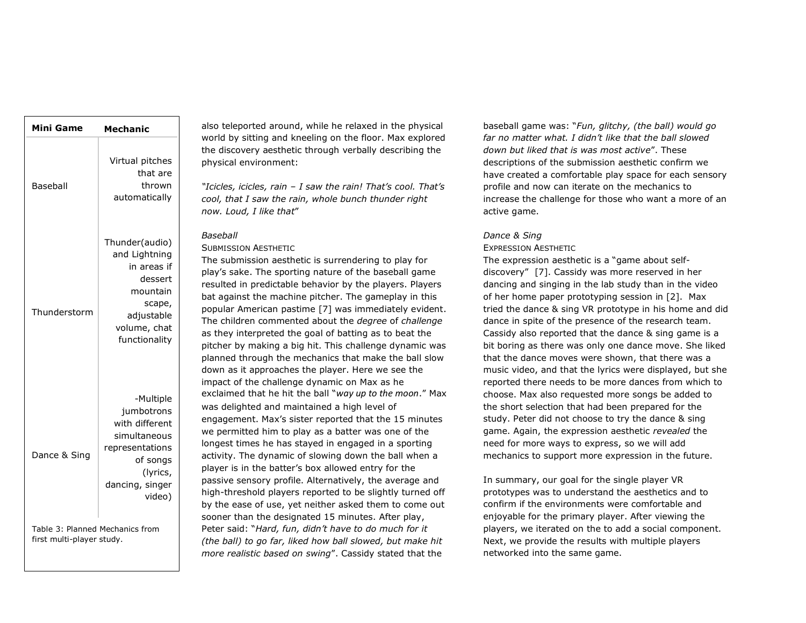| <b>Mini Game</b>                                             | <b>Mechanic</b>                                                                                                                   |  |
|--------------------------------------------------------------|-----------------------------------------------------------------------------------------------------------------------------------|--|
| Baseball                                                     | Virtual pitches<br>that are<br>thrown<br>automatically                                                                            |  |
| Thunderstorm                                                 | Thunder(audio)<br>and Lightning<br>in areas if<br>dessert<br>mountain<br>scape,<br>adjustable<br>volume, chat<br>functionality    |  |
| Dance & Sing                                                 | -Multiple<br>jumbotrons<br>with different<br>simultaneous<br>representations<br>of songs<br>(lyrics,<br>dancing, singer<br>video) |  |
| Table 3: Planned Mechanics from<br>first multi-player study. |                                                                                                                                   |  |

also teleported around, while he relaxed in the physical world by sitting and kneeling on the floor. Max explored the discovery aesthetic through verbally describing the physical environment:

*"Icicles, icicles, rain – I saw the rain! That's cool. That's cool, that I saw the rain, whole bunch thunder right now. Loud, I like that*"

#### *Baseball*

SUBMISSION AESTHETIC

The submission aesthetic is surrendering to play for play's sake. The sporting nature of the baseball game resulted in predictable behavior by the players. Players bat against the machine pitcher. The gameplay in this popular American pastime [7] was immediately evident. The children commented about the *degree* of *challenge* as they interpreted the goal of batting as to beat the pitcher by making a big hit. This challenge dynamic was planned through the mechanics that make the ball slow down as it approaches the player. Here we see the impact of the challenge dynamic on Max as he exclaimed that he hit the ball "*way up to the moon*." Max was delighted and maintained a high level of engagement. Max's sister reported that the 15 minutes we permitted him to play as a batter was one of the longest times he has stayed in engaged in a sporting activity. The dynamic of slowing down the ball when a player is in the batter's box allowed entry for the passive sensory profile. Alternatively, the average and high-threshold players reported to be slightly turned off by the ease of use, yet neither asked them to come out sooner than the designated 15 minutes. After play, Peter said: "*Hard, fun, didn't have to do much for it (the ball) to go far, liked how ball slowed, but make hit more realistic based on swing*". Cassidy stated that the

baseball game was: "*Fun, glitchy, (the ball) would go far no matter what. I didn't like that the ball slowed down but liked that is was most active*". These descriptions of the submission aesthetic confirm we have created a comfortable play space for each sensory profile and now can iterate on the mechanics to increase the challenge for those who want a more of an active game.

#### *Dance & Sing*

#### EXPRESSION AESTHETIC

The expression aesthetic is a "game about selfdiscovery" [7]. Cassidy was more reserved in her dancing and singing in the lab study than in the video of her home paper prototyping session in [2]. Max tried the dance & sing VR prototype in his home and did dance in spite of the presence of the research team. Cassidy also reported that the dance & sing game is a bit boring as there was only one dance move. She liked that the dance moves were shown, that there was a music video, and that the lyrics were displayed, but she reported there needs to be more dances from which to choose. Max also requested more songs be added to the short selection that had been prepared for the study. Peter did not choose to try the dance & sing game. Again, the expression aesthetic *revealed* the need for more ways to express, so we will add mechanics to support more expression in the future.

In summary, our goal for the single player VR prototypes was to understand the aesthetics and to confirm if the environments were comfortable and enjoyable for the primary player. After viewing the players, we iterated on the to add a social component. Next, we provide the results with multiple players networked into the same game.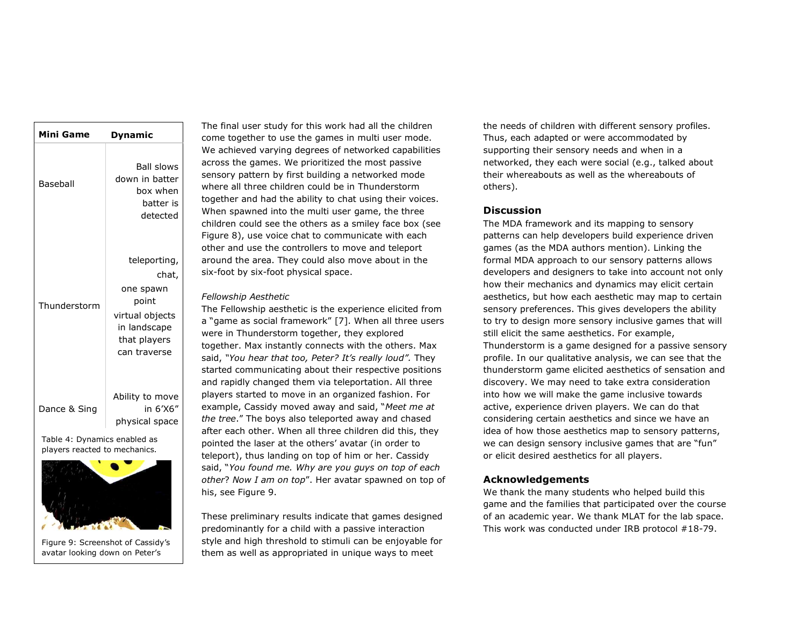| <b>Mini Game</b>             | Dynamic                                                                                                        |  |
|------------------------------|----------------------------------------------------------------------------------------------------------------|--|
| Baseball                     | <b>Ball slows</b><br>down in batter<br>box when<br>batter is<br>detected                                       |  |
| Thunderstorm                 | teleporting,<br>chat,<br>one spawn<br>point<br>virtual objects<br>in landscape<br>that players<br>can traverse |  |
| Dance & Sing                 | Ability to move<br>in 6'X6"<br>physical space                                                                  |  |
| Table 4: Dynamics enabled as |                                                                                                                |  |



Figure 9: Screenshot of Cassidy's avatar looking down on Peter's

avatar.

The final user study for this work had all the children come together to use the games in multi user mode. We achieved varying degrees of networked capabilities across the games. We prioritized the most passive sensory pattern by first building a networked mode where all three children could be in Thunderstorm together and had the ability to chat using their voices. When spawned into the multi user game, the three children could see the others as a smiley face box (see Figure 8), use voice chat to communicate with each other and use the controllers to move and teleport around the area. They could also move about in the six-foot by six-foot physical space.

#### *Fellowship Aesthetic*

The Fellowship aesthetic is the experience elicited from a "game as social framework" [7]. When all three users were in Thunderstorm together, they explored together. Max instantly connects with the others. Max said, *"You hear that too, Peter? It's really loud".* They started communicating about their respective positions and rapidly changed them via teleportation. All three players started to move in an organized fashion. For example, Cassidy moved away and said, "*Meet me at the tree*." The boys also teleported away and chased after each other. When all three children did this, they pointed the laser at the others' avatar (in order to teleport), thus landing on top of him or her. Cassidy said, "*You found me. Why are you guys on top of each other*? *Now I am on top*". Her avatar spawned on top of his, see Figure 9.

These preliminary results indicate that games designed predominantly for a child with a passive interaction style and high threshold to stimuli can be enjoyable for them as well as appropriated in unique ways to meet

the needs of children with different sensory profiles. Thus, each adapted or were accommodated by supporting their sensory needs and when in a networked, they each were social (e.g., talked about their whereabouts as well as the whereabouts of others).

#### **Discussion**

The MDA framework and its mapping to sensory patterns can help developers build experience driven games (as the MDA authors mention). Linking the formal MDA approach to our sensory patterns allows developers and designers to take into account not only how their mechanics and dynamics may elicit certain aesthetics, but how each aesthetic may map to certain sensory preferences. This gives developers the ability to try to design more sensory inclusive games that will still elicit the same aesthetics. For example, Thunderstorm is a game designed for a passive sensory profile. In our qualitative analysis, we can see that the thunderstorm game elicited aesthetics of sensation and discovery. We may need to take extra consideration into how we will make the game inclusive towards active, experience driven players. We can do that considering certain aesthetics and since we have an idea of how those aesthetics map to sensory patterns, we can design sensory inclusive games that are "fun" or elicit desired aesthetics for all players.

#### **Acknowledgements**

We thank the many students who helped build this game and the families that participated over the course of an academic year. We thank MLAT for the lab space. This work was conducted under IRB protocol #18-79.